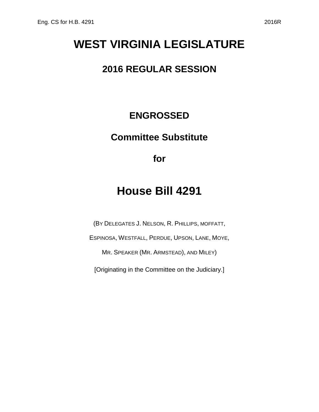# **WEST VIRGINIA LEGISLATURE**

#### **2016 REGULAR SESSION**

### **ENGROSSED**

## **Committee Substitute**

**for**

## **House Bill 4291**

(BY DELEGATES J. NELSON, R. PHILLIPS, MOFFATT,

ESPINOSA, WESTFALL, PERDUE, UPSON, LANE, MOYE,

MR. SPEAKER (MR. ARMSTEAD), AND MILEY)

[Originating in the Committee on the Judiciary.]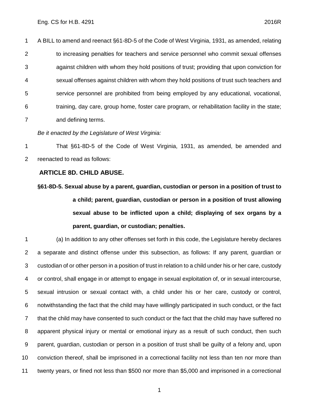A BILL to amend and reenact §61-8D-5 of the Code of West Virginia, 1931, as amended, relating 2 to increasing penalties for teachers and service personnel who commit sexual offenses against children with whom they hold positions of trust; providing that upon conviction for sexual offenses against children with whom they hold positions of trust such teachers and service personnel are prohibited from being employed by any educational, vocational, training, day care, group home, foster care program, or rehabilitation facility in the state; and defining terms.

*Be it enacted by the Legislature of West Virginia:*

 That §61-8D-5 of the Code of West Virginia, 1931, as amended, be amended and reenacted to read as follows:

#### **ARTICLE 8D. CHILD ABUSE.**

**§61-8D-5. Sexual abuse by a parent, guardian, custodian or person in a position of trust to a child; parent, guardian, custodian or person in a position of trust allowing sexual abuse to be inflicted upon a child; displaying of sex organs by a parent, guardian, or custodian; penalties.**

 (a) In addition to any other offenses set forth in this code, the Legislature hereby declares a separate and distinct offense under this subsection, as follows: If any parent, guardian or custodian of or other person in a position of trust in relation to a child under his or her care, custody or control, shall engage in or attempt to engage in sexual exploitation of, or in sexual intercourse, sexual intrusion or sexual contact with, a child under his or her care, custody or control, notwithstanding the fact that the child may have willingly participated in such conduct, or the fact that the child may have consented to such conduct or the fact that the child may have suffered no apparent physical injury or mental or emotional injury as a result of such conduct, then such parent, guardian, custodian or person in a position of trust shall be guilty of a felony and, upon conviction thereof, shall be imprisoned in a correctional facility not less than ten nor more than twenty years, or fined not less than \$500 nor more than \$5,000 and imprisoned in a correctional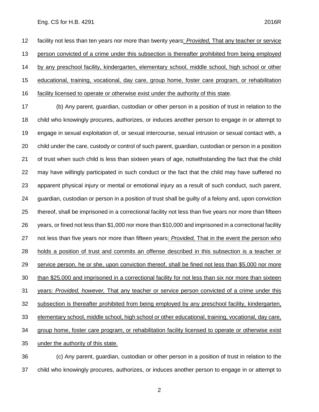#### Eng. CS for H.B. 4291 2016R

 facility not less than ten years nor more than twenty years: *Provided,* That any teacher or service person convicted of a crime under this subsection is thereafter prohibited from being employed by any preschool facility, kindergarten, elementary school, middle school, high school or other educational, training, vocational, day care, group home, foster care program, or rehabilitation facility licensed to operate or otherwise exist under the authority of this state.

 (b) Any parent, guardian, custodian or other person in a position of trust in relation to the child who knowingly procures, authorizes, or induces another person to engage in or attempt to engage in sexual exploitation of, or sexual intercourse, sexual intrusion or sexual contact with, a child under the care, custody or control of such parent, guardian, custodian or person in a position of trust when such child is less than sixteen years of age, notwithstanding the fact that the child may have willingly participated in such conduct or the fact that the child may have suffered no apparent physical injury or mental or emotional injury as a result of such conduct, such parent, guardian, custodian or person in a position of trust shall be guilty of a felony and, upon conviction thereof, shall be imprisoned in a correctional facility not less than five years nor more than fifteen years, or fined not less than \$1,000 nor more than \$10,000 and imprisoned in a correctional facility not less than five years nor more than fifteen years: *Provided,* That in the event the person who holds a position of trust and commits an offense described in this subsection is a teacher or service person, he or she, upon conviction thereof, shall be fined not less than \$5,000 nor more than \$25,000 and imprisoned in a correctional facility for not less than six nor more than sixteen years: *Provided, however,* That any teacher or service person convicted of a crime under this subsection is thereafter prohibited from being employed by any preschool facility, kindergarten, elementary school, middle school, high school or other educational, training, vocational, day care, group home, foster care program, or rehabilitation facility licensed to operate or otherwise exist under the authority of this state.

 (c) Any parent, guardian, custodian or other person in a position of trust in relation to the child who knowingly procures, authorizes, or induces another person to engage in or attempt to